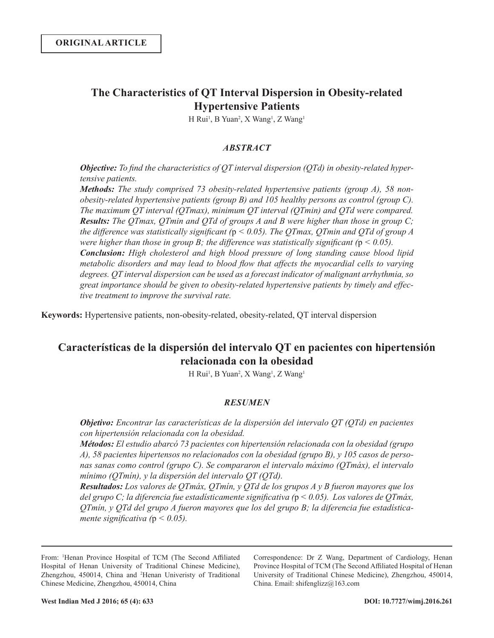# **The Characteristics of QT Interval Dispersion in Obesity-related Hypertensive Patients**

H Rui<sup>1</sup>, B Yuan<sup>2</sup>, X Wang<sup>1</sup>, Z Wang<sup>1</sup>

## *ABSTRACT*

*Objective: To find the characteristics of QT interval dispersion (QTd) in obesity-related hypertensive patients.* 

*Methods: The study comprised 73 obesity-related hypertensive patients (group A), 58 nonobesity-related hypertensive patients (group B) and 105 healthy persons as control (group C). The maximum QT interval (QTmax), minimum QT interval (QTmin) and QTd were compared. Results: The QTmax, QTmin and QTd of groups A and B were higher than those in group C; the difference was statistically significant (*p *< 0.05). The QTmax, QTmin and QTd of group A were higher than those in group B; the difference was statistically significant (* $p < 0.05$ *). Conclusion: High cholesterol and high blood pressure of long standing cause blood lipid metabolic disorders and may lead to blood flow that affects the myocardial cells to varying degrees. QT interval dispersion can be used as a forecast indicator of malignant arrhythmia, so great importance should be given to obesity-related hypertensive patients by timely and effective treatment to improve the survival rate.*

**Keywords:** Hypertensive patients, non-obesity-related, obesity-related, QT interval dispersion

# **Características de la dispersión del intervalo QT en pacientes con hipertensión relacionada con la obesidad**

H Rui<sup>1</sup>, B Yuan<sup>2</sup>, X Wang<sup>1</sup>, Z Wang<sup>1</sup>

## *RESUMEN*

*Objetivo: Encontrar las características de la dispersión del intervalo QT (QTd) en pacientes con hipertensión relacionada con la obesidad.*

*Métodos: El estudio abarcó 73 pacientes con hipertensión relacionada con la obesidad (grupo A), 58 pacientes hipertensos no relacionados con la obesidad (grupo B), y 105 casos de personas sanas como control (grupo C). Se compararon el intervalo máximo (QTmáx), el intervalo mínimo (QTmín), y la dispersión del intervalo QT (QTd).* 

*Resultados: Los valores de QTmáx, QTmín, y QTd de los grupos A y B fueron mayores que los del grupo C; la diferencia fue estadísticamente significativa (*p *< 0.05). Los valores de QTmáx, QTmín, y QTd del grupo A fueron mayores que los del grupo B; la diferencia fue estadísticamente significativa (*p *< 0.05).*

Correspondence: Dr Z Wang, Department of Cardiology, Henan Province Hospital of TCM (The Second Affiliated Hospital of Henan University of Traditional Chinese Medicine), Zhengzhou, 450014, China. Email: shifenglizz@163.com

From: <sup>1</sup>Henan Province Hospital of TCM (The Second Affiliated Hospital of Henan University of Traditional Chinese Medicine), Zhengzhou, 450014, China and <sup>2</sup>Henan Univeristy of Traditional Chinese Medicine, Zhengzhou, 450014, China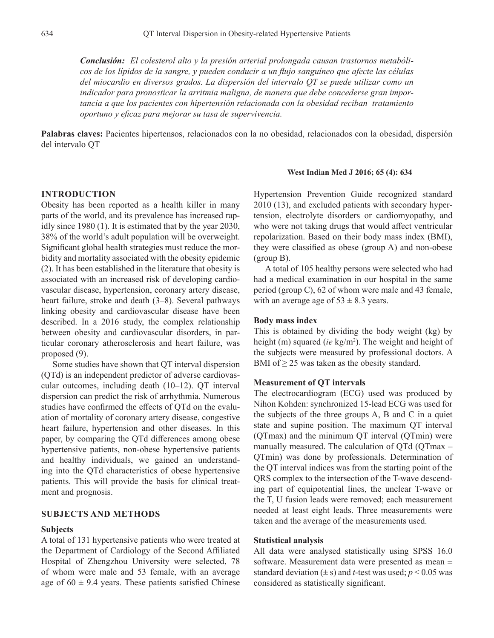*Conclusión: El colesterol alto y la presión arterial prolongada causan trastornos metabólicos de los lípidos de la sangre, y pueden conducir a un flujo sanguíneo que afecte las células del miocardio en diversos grados. La dispersión del intervalo QT se puede utilizar como un indicador para pronosticar la arritmia maligna, de manera que debe concederse gran importancia a que los pacientes con hipertensión relacionada con la obesidad reciban tratamiento oportuno y eficaz para mejorar su tasa de supervivencia.*

**Palabras claves:** Pacientes hipertensos, relacionados con la no obesidad, relacionados con la obesidad, dispersión del intervalo QT

### **INTRODUCTION**

Obesity has been reported as a health killer in many parts of the world, and its prevalence has increased rapidly since 1980 (1). It is estimated that by the year 2030, 38% of the world's adult population will be overweight. Significant global health strategies must reduce the morbidity and mortality associated with the obesity epidemic (2). It has been established in the literature that obesity is associated with an increased risk of developing cardiovascular disease, hypertension, coronary artery disease, heart failure, stroke and death (3–8). Several pathways linking obesity and cardiovascular disease have been described. In a 2016 study, the complex relationship between obesity and cardiovascular disorders, in particular coronary atherosclerosis and heart failure, was proposed (9).

Some studies have shown that QT interval dispersion (QTd) is an independent predictor of adverse cardiovascular outcomes, including death (10–12). QT interval dispersion can predict the risk of arrhythmia. Numerous studies have confirmed the effects of QTd on the evaluation of mortality of coronary artery disease, congestive heart failure, hypertension and other diseases. In this paper, by comparing the QTd differences among obese hypertensive patients, non-obese hypertensive patients and healthy individuals, we gained an understanding into the QTd characteristics of obese hypertensive patients. This will provide the basis for clinical treatment and prognosis.

# **SUBJECTS AND METHODS**

#### **Subjects**

A total of 131 hypertensive patients who were treated at the Department of Cardiology of the Second Affiliated Hospital of Zhengzhou University were selected, 78 of whom were male and 53 female, with an average age of  $60 \pm 9.4$  years. These patients satisfied Chinese

### **West Indian Med J 2016; 65 (4): 634**

Hypertension Prevention Guide recognized standard 2010 (13), and excluded patients with secondary hypertension, electrolyte disorders or cardiomyopathy, and who were not taking drugs that would affect ventricular repolarization. Based on their body mass index (BMI), they were classified as obese (group A) and non-obese (group B).

A total of 105 healthy persons were selected who had had a medical examination in our hospital in the same period (group C), 62 of whom were male and 43 female, with an average age of  $53 \pm 8.3$  years.

#### **Body mass index**

This is obtained by dividing the body weight (kg) by height (m) squared (*ie* kg/m<sup>2</sup>). The weight and height of the subjects were measured by professional doctors. A BMI of  $\geq$  25 was taken as the obesity standard.

#### **Measurement of QT intervals**

The electrocardiogram (ECG) used was produced by Nihon Kohden: synchronized 15-lead ECG was used for the subjects of the three groups A, B and C in a quiet state and supine position. The maximum QT interval (QTmax) and the minimum QT interval (QTmin) were manually measured. The calculation of QTd (QTmax – QTmin) was done by professionals. Determination of the QT interval indices was from the starting point of the QRS complex to the intersection of the T-wave descending part of equipotential lines, the unclear T-wave or the T, U fusion leads were removed; each measurement needed at least eight leads. Three measurements were taken and the average of the measurements used.

## **Statistical analysis**

All data were analysed statistically using SPSS 16.0 software. Measurement data were presented as mean  $\pm$ standard deviation  $(\pm s)$  and *t*-test was used;  $p < 0.05$  was considered as statistically significant.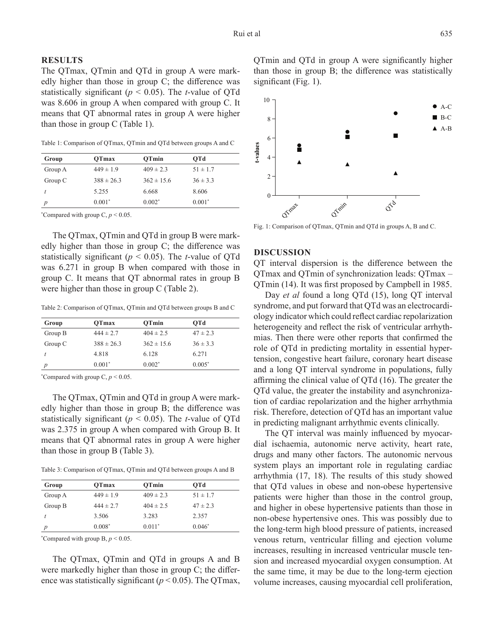## **RESULTS**

The QTmax, QTmin and QTd in group A were markedly higher than those in group C; the difference was statistically significant (*p* < 0.05). The *t*-value of QTd was 8.606 in group A when compared with group C. It means that QT abnormal rates in group A were higher than those in group C (Table 1).

Table 1: Comparison of QTmax, QTmin and QTd between groups A and C

| Group   | OTmax          | OTmin          | OTd          |
|---------|----------------|----------------|--------------|
| Group A | $449 \pm 1.9$  | $409 \pm 2.3$  | $51 \pm 1.7$ |
| Group C | $388 \pm 26.3$ | $362 \pm 15.6$ | $36 \pm 3.3$ |
|         | 5.255          | 6.668          | 8.606        |
| p       | $0.001*$       | $0.002*$       | $0.001*$     |

\*Compared with group  $C, p \le 0.05$ .

The QTmax, QTmin and QTd in group B were markedly higher than those in group C; the difference was statistically significant (*p* < 0.05). The *t*-value of QTd was 6.271 in group B when compared with those in group C. It means that QT abnormal rates in group B were higher than those in group C (Table 2).

Table 2: Comparison of QTmax, QTmin and QTd between groups B and C

| Group     | OTmax          | OTmin          | OTd          |  |
|-----------|----------------|----------------|--------------|--|
| Group B   | $444 \pm 2.7$  | $404 \pm 2.5$  | $47 \pm 2.3$ |  |
| Group $C$ | $388 \pm 26.3$ | $362 \pm 15.6$ | $36 \pm 3.3$ |  |
|           | 4.818          | 6.128          | 6.271        |  |
|           | $0.001*$       | $0.002*$       | $0.005*$     |  |
|           |                |                |              |  |

\*Compared with group C,  $p < 0.05$ .

The QTmax, QTmin and QTd in group A were markedly higher than those in group B; the difference was statistically significant (*p* < 0.05). The *t*-value of QTd was 2.375 in group A when compared with Group B. It means that QT abnormal rates in group A were higher than those in group B (Table 3).

Table 3: Comparison of QTmax, QTmin and QTd between groups A and B

| Group   | OTmax         | OTmin         | OTd          |
|---------|---------------|---------------|--------------|
| Group A | $449 \pm 1.9$ | $409 \pm 2.3$ | $51 \pm 1.7$ |
| Group B | $444 \pm 2.7$ | $404 \pm 2.5$ | $47 \pm 2.3$ |
|         | 3.506         | 3.283         | 2.357        |
|         | $0.008*$      | $0.011*$      | $0.046*$     |

\*Compared with group  $B, p \le 0.05$ .

The QTmax, QTmin and QTd in groups A and B were markedly higher than those in group C; the difference was statistically significant ( $p < 0.05$ ). The QTmax, QTmin and QTd in group A were significantly higher than those in group B; the difference was statistically significant (Fig. 1).



Fig. 1: Comparison of QTmax, QTmin and QTd in groups A, B and C.

## **DISCUSSION**

QT interval dispersion is the difference between the QTmax and QTmin of synchronization leads: QTmax – QTmin (14). It was first proposed by Campbell in 1985.

Day *et al* found a long QTd (15), long QT interval syndrome, and put forward that QTd was an electrocardiology indicator which could reflect cardiac repolarization heterogeneity and reflect the risk of ventricular arrhythmias. Then there were other reports that confirmed the role of QTd in predicting mortality in essential hypertension, congestive heart failure, coronary heart disease and a long QT interval syndrome in populations, fully affirming the clinical value of QTd (16). The greater the QTd value, the greater the instability and asynchronization of cardiac repolarization and the higher arrhythmia risk. Therefore, detection of QTd has an important value in predicting malignant arrhythmic events clinically.

The QT interval was mainly influenced by myocardial ischaemia, autonomic nerve activity, heart rate, drugs and many other factors. The autonomic nervous system plays an important role in regulating cardiac arrhythmia (17, 18). The results of this study showed that QTd values in obese and non-obese hypertensive patients were higher than those in the control group, and higher in obese hypertensive patients than those in non-obese hypertensive ones. This was possibly due to the long-term high blood pressure of patients, increased venous return, ventricular filling and ejection volume increases, resulting in increased ventricular muscle tension and increased myocardial oxygen consumption. At the same time, it may be due to the long-term ejection volume increases, causing myocardial cell proliferation,